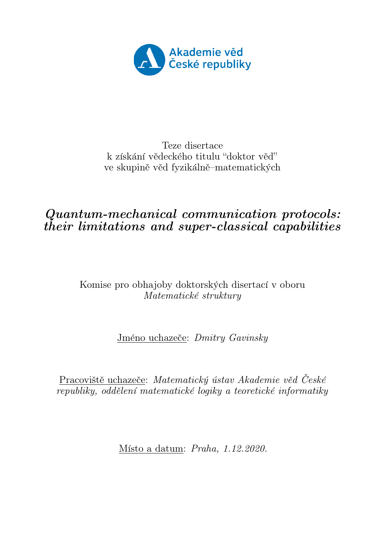<span id="page-0-0"></span>

#### Teze disertace k získání vědeckého titulu "doktor věď" ve skupině věd fyzikálně–matematických

#### Quantum-mechanical communication protocols: their limitations and super-classical capabilities

#### Komise pro obhajoby doktorských disertací v oboru Matematické struktury

Jméno uchazeče: Dmitry Gavinsky

Pracoviště uchazeče: Matematický ústav Akademie věd České  $republiky, oddělení matematické logiky a teoretické informatiky$ 

Místo a datum: Praha, 1.12.2020.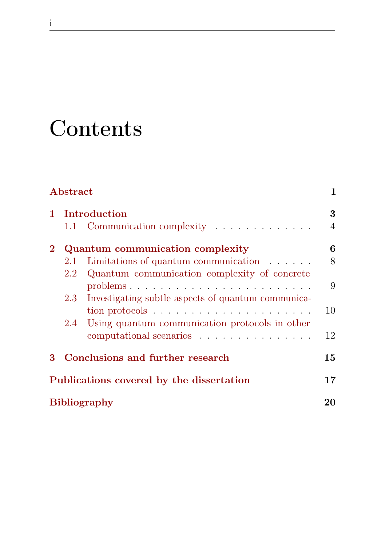## **Contents**

i

| Abstract |         | 1                                                  |                |
|----------|---------|----------------------------------------------------|----------------|
| 1.       |         | Introduction                                       | 3              |
|          |         | 1.1 Communication complexity                       | $\overline{4}$ |
| $\bf{2}$ |         | Quantum communication complexity                   | 6              |
|          | $2.1\,$ | Limitations of quantum communication $\ldots$      | 8              |
|          | $2.2\,$ | Quantum communication complexity of concrete       |                |
|          |         |                                                    | 9              |
|          | 2.3     | Investigating subtle aspects of quantum communica- |                |
|          |         |                                                    | 10             |
|          | 2.4     | Using quantum communication protocols in other     |                |
|          |         | computational scenarios                            | 12             |
| 3        |         | Conclusions and further research                   | 15             |
|          |         | Publications covered by the dissertation           | 17             |
|          |         | <b>Bibliography</b>                                | 20             |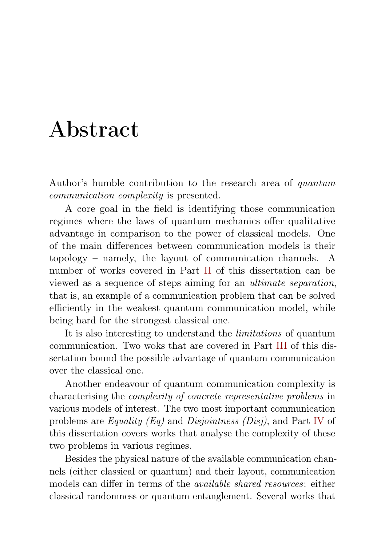## <span id="page-4-0"></span>Abstract

Author's humble contribution to the research area of quantum communication complexity is presented.

A core goal in the field is identifying those communication regimes where the laws of quantum mechanics offer qualitative advantage in comparison to the power of classical models. One of the main differences between communication models is their topology – namely, the layout of communication channels. A number of works covered in Part [II](#page-0-0) of this dissertation can be viewed as a sequence of steps aiming for an ultimate separation, that is, an example of a communication problem that can be solved efficiently in the weakest quantum communication model, while being hard for the strongest classical one.

It is also interesting to understand the limitations of quantum communication. Two woks that are covered in Part [III](#page-0-0) of this dissertation bound the possible advantage of quantum communication over the classical one.

Another endeavour of quantum communication complexity is characterising the complexity of concrete representative problems in various models of interest. The two most important communication problems are Equality (Eq) and Disjointness (Disj), and Part [IV](#page-0-0) of this dissertation covers works that analyse the complexity of these two problems in various regimes.

Besides the physical nature of the available communication channels (either classical or quantum) and their layout, communication models can differ in terms of the available shared resources: either classical randomness or quantum entanglement. Several works that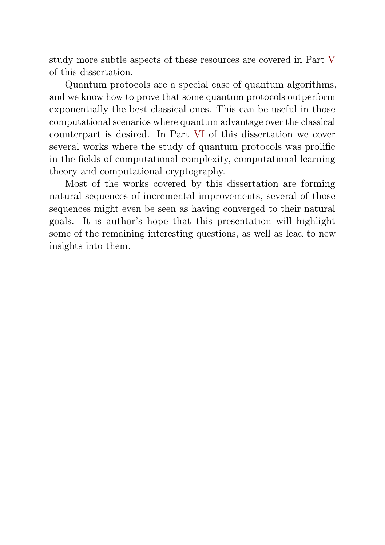study more subtle aspects of these resources are covered in Part [V](#page-0-0) of this dissertation.

Quantum protocols are a special case of quantum algorithms, and we know how to prove that some quantum protocols outperform exponentially the best classical ones. This can be useful in those computational scenarios where quantum advantage over the classical counterpart is desired. In Part [VI](#page-0-0) of this dissertation we cover several works where the study of quantum protocols was prolific in the fields of computational complexity, computational learning theory and computational cryptography.

Most of the works covered by this dissertation are forming natural sequences of incremental improvements, several of those sequences might even be seen as having converged to their natural goals. It is author's hope that this presentation will highlight some of the remaining interesting questions, as well as lead to new insights into them.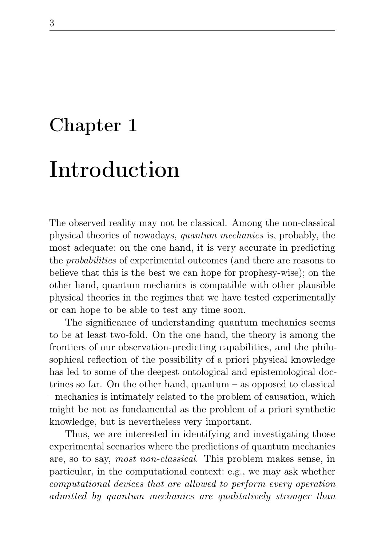### <span id="page-6-0"></span>Chapter 1

## Introduction

The observed reality may not be classical. Among the non-classical physical theories of nowadays, quantum mechanics is, probably, the most adequate: on the one hand, it is very accurate in predicting the probabilities of experimental outcomes (and there are reasons to believe that this is the best we can hope for prophesy-wise); on the other hand, quantum mechanics is compatible with other plausible physical theories in the regimes that we have tested experimentally or can hope to be able to test any time soon.

The significance of understanding quantum mechanics seems to be at least two-fold. On the one hand, the theory is among the frontiers of our observation-predicting capabilities, and the philosophical reflection of the possibility of a priori physical knowledge has led to some of the deepest ontological and epistemological doctrines so far. On the other hand, quantum – as opposed to classical – mechanics is intimately related to the problem of causation, which might be not as fundamental as the problem of a priori synthetic knowledge, but is nevertheless very important.

Thus, we are interested in identifying and investigating those experimental scenarios where the predictions of quantum mechanics are, so to say, most non-classical. This problem makes sense, in particular, in the computational context: e.g., we may ask whether computational devices that are allowed to perform every operation admitted by quantum mechanics are qualitatively stronger than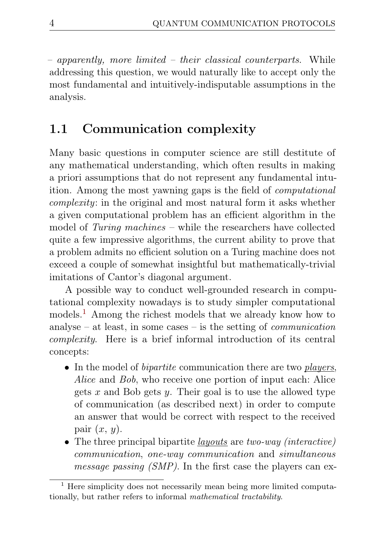– apparently, more limited – their classical counterparts. While addressing this question, we would naturally like to accept only the most fundamental and intuitively-indisputable assumptions in the analysis.

#### <span id="page-7-0"></span>1.1 Communication complexity

Many basic questions in computer science are still destitute of any mathematical understanding, which often results in making a priori assumptions that do not represent any fundamental intuition. Among the most yawning gaps is the field of computational complexity: in the original and most natural form it asks whether a given computational problem has an efficient algorithm in the model of Turing machines – while the researchers have collected quite a few impressive algorithms, the current ability to prove that a problem admits no efficient solution on a Turing machine does not exceed a couple of somewhat insightful but mathematically-trivial imitations of Cantor's diagonal argument.

A possible way to conduct well-grounded research in computational complexity nowadays is to study simpler computational models.<sup>[1](#page-7-1)</sup> Among the richest models that we already know how to analyse – at least, in some cases – is the setting of *communication* complexity. Here is a brief informal introduction of its central concepts:

- In the model of *bipartite* communication there are two *players*, Alice and Bob, who receive one portion of input each: Alice gets x and Bob gets y. Their goal is to use the allowed type of communication (as described next) in order to compute an answer that would be correct with respect to the received pair  $(x, y)$ .
- The three principal bipartite *layouts* are *two-way (interactive)* communication, one-way communication and simultaneous message passing (SMP). In the first case the players can ex-

<span id="page-7-1"></span><sup>&</sup>lt;sup>1</sup> Here simplicity does not necessarily mean being more limited computationally, but rather refers to informal mathematical tractability.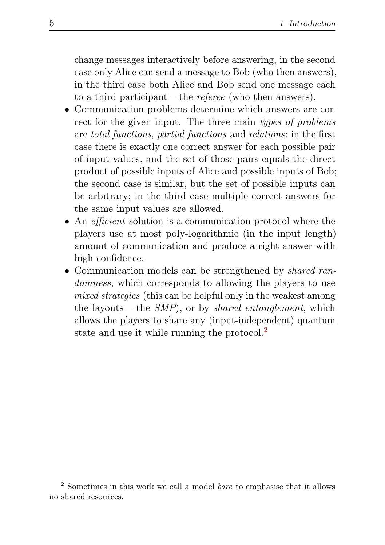change messages interactively before answering, in the second case only Alice can send a message to Bob (who then answers), in the third case both Alice and Bob send one message each to a third participant – the *referee* (who then answers).

- Communication problems determine which answers are correct for the given input. The three main types of problems are total functions, partial functions and relations: in the first case there is exactly one correct answer for each possible pair of input values, and the set of those pairs equals the direct product of possible inputs of Alice and possible inputs of Bob; the second case is similar, but the set of possible inputs can be arbitrary; in the third case multiple correct answers for the same input values are allowed.
- An *efficient* solution is a communication protocol where the players use at most poly-logarithmic (in the input length) amount of communication and produce a right answer with high confidence.
- Communication models can be strengthened by *shared ran*domness, which corresponds to allowing the players to use mixed strategies (this can be helpful only in the weakest among the layouts – the  $SMP$ , or by *shared entanglement*, which allows the players to share any (input-independent) quantum state and use it while running the protocol.<sup>[2](#page-8-0)</sup>

<span id="page-8-0"></span><sup>2</sup> Sometimes in this work we call a model bare to emphasise that it allows no shared resources.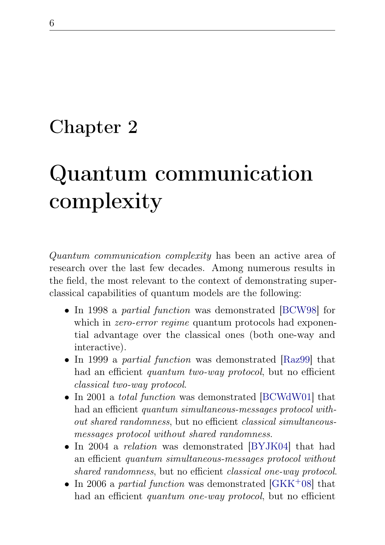### <span id="page-9-0"></span>Chapter 2

# Quantum communication complexity

Quantum communication complexity has been an active area of research over the last few decades. Among numerous results in the field, the most relevant to the context of demonstrating superclassical capabilities of quantum models are the following:

- In 1998 a partial function was demonstrated [\[BCW98\]](#page-25-0) for which in *zero-error regime* quantum protocols had exponential advantage over the classical ones (both one-way and interactive).
- In 1999 a *partial function* was demonstrated [\[Raz99\]](#page-38-0) that had an efficient quantum two-way protocol, but no efficient classical two-way protocol.
- In 2001 a *total function* was demonstrated [\[BCWdW01\]](#page-25-1) that had an efficient *quantum simultaneous-messages protocol with*out shared randomness, but no efficient classical simultaneousmessages protocol without shared randomness.
- In 2004 a *relation* was demonstrated [\[BYJK04\]](#page-26-0) that had an efficient quantum simultaneous-messages protocol without shared randomness, but no efficient *classical one-way protocol*.
- In 2006 a partial function was demonstrated  $[GKK^+08]$  $[GKK^+08]$  that had an efficient *quantum one-way protocol*, but no efficient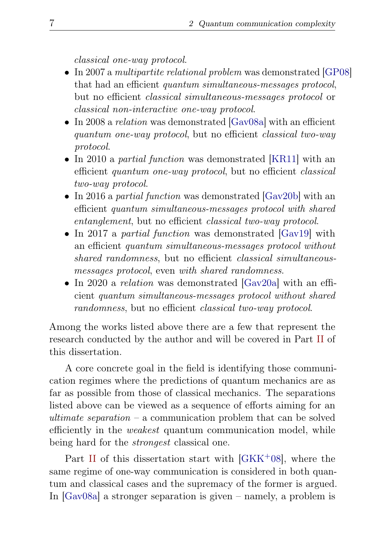classical one-way protocol.

- In 2007 a *multipartite relational problem* was demonstrated [\[GP08\]](#page-22-1) that had an efficient quantum simultaneous-messages protocol, but no efficient classical simultaneous-messages protocol or classical non-interactive one-way protocol.
- In 2008 a *relation* was demonstrated [\[Gav08a\]](#page-20-1) with an efficient quantum one-way protocol, but no efficient classical two-way protocol.
- In 2010 a *partial function* was demonstrated [\[KR11\]](#page-34-0) with an efficient quantum one-way protocol, but no efficient classical two-way protocol.
- In 2016 a *partial function* was demonstrated [\[Gav20b\]](#page-21-0) with an efficient quantum simultaneous-messages protocol with shared entanglement, but no efficient classical two-way protocol.
- In 2017 a *partial function* was demonstrated [\[Gav19\]](#page-20-2) with an efficient quantum simultaneous-messages protocol without shared randomness, but no efficient *classical simultaneous*messages protocol, even with shared randomness.
- In 2020 a *relation* was demonstrated [\[Gav20a\]](#page-21-1) with an efficient quantum simultaneous-messages protocol without shared randomness, but no efficient classical two-way protocol.

Among the works listed above there are a few that represent the research conducted by the author and will be covered in Part [II](#page-0-0) of this dissertation.

A core concrete goal in the field is identifying those communication regimes where the predictions of quantum mechanics are as far as possible from those of classical mechanics. The separations listed above can be viewed as a sequence of efforts aiming for an ultimate separation – a communication problem that can be solved efficiently in the weakest quantum communication model, while being hard for the strongest classical one.

Part [II](#page-0-0) of this dissertation start with  $[GKK^+08]$  $[GKK^+08]$ , where the same regime of one-way communication is considered in both quantum and classical cases and the supremacy of the former is argued. In [\[Gav08a\]](#page-20-1) a stronger separation is given – namely, a problem is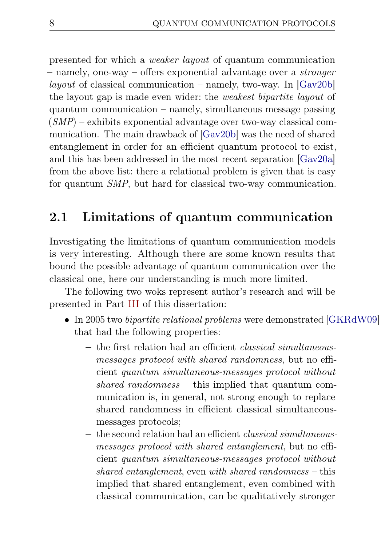presented for which a weaker layout of quantum communication – namely, one-way – offers exponential advantage over a stronger *layout* of classical communication – namely, two-way. In  $[Gav20b]$ the layout gap is made even wider: the weakest bipartite layout of quantum communication – namely, simultaneous message passing  $(SMP)$  – exhibits exponential advantage over two-way classical communication. The main drawback of [\[Gav20b\]](#page-21-0) was the need of shared entanglement in order for an efficient quantum protocol to exist, and this has been addressed in the most recent separation [\[Gav20a\]](#page-21-1) from the above list: there a relational problem is given that is easy for quantum SMP, but hard for classical two-way communication.

#### <span id="page-11-0"></span>2.1 Limitations of quantum communication

Investigating the limitations of quantum communication models is very interesting. Although there are some known results that bound the possible advantage of quantum communication over the classical one, here our understanding is much more limited.

The following two woks represent author's research and will be presented in Part [III](#page-0-0) of this dissertation:

- In 2005 two *bipartite relational problems* were demonstrated [\[GKRdW09\]](#page-22-2) that had the following properties:
	- the first relation had an efficient classical simultaneousmessages protocol with shared randomness, but no efficient quantum simultaneous-messages protocol without shared randomness – this implied that quantum communication is, in general, not strong enough to replace shared randomness in efficient classical simultaneousmessages protocols;
	- the second relation had an efficient classical simultaneousmessages protocol with shared entanglement, but no efficient quantum simultaneous-messages protocol without shared entanglement, even with shared randomness – this implied that shared entanglement, even combined with classical communication, can be qualitatively stronger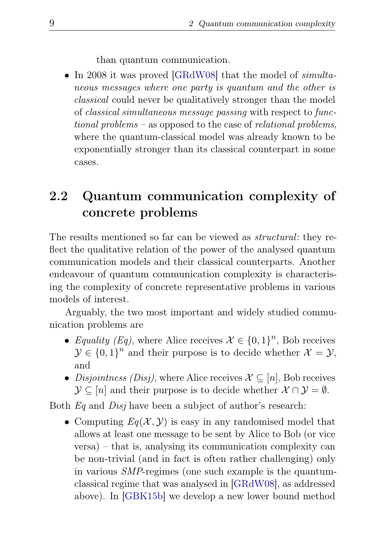than quantum communication.

• In 2008 it was proved [\[GRdW08\]](#page-22-3) that the model of *simulta*neous messages where one party is quantum and the other is classical could never be qualitatively stronger than the model of classical simultaneous message passing with respect to functional problems – as opposed to the case of relational problems, where the quantum-classical model was already known to be exponentially stronger than its classical counterpart in some cases.

### <span id="page-12-0"></span>2.2 Quantum communication complexity of concrete problems

The results mentioned so far can be viewed as structural: they reflect the qualitative relation of the power of the analysed quantum communication models and their classical counterparts. Another endeavour of quantum communication complexity is characterising the complexity of concrete representative problems in various models of interest.

Arguably, the two most important and widely studied communication problems are

- Equality (Eq), where Alice receives  $\mathcal{X} \in \{0,1\}^n$ , Bob receives  $\mathcal{Y} \in \{0,1\}^n$  and their purpose is to decide whether  $\mathcal{X} = \mathcal{Y}$ , and
- Disjointness (Disj), where Alice receives  $\mathcal{X} \subseteq [n]$ , Bob receives  $\mathcal{Y} \subseteq [n]$  and their purpose is to decide whether  $\mathcal{X} \cap \mathcal{Y} = \emptyset$ .

Both Eq and Disj have been a subject of author's research:

• Computing  $Eq(\mathcal{X}, \mathcal{Y})$  is easy in any randomised model that allows at least one message to be sent by Alice to Bob (or vice versa) – that is, analysing its communication complexity can be non-trivial (and in fact is often rather challenging) only in various SMP-regimes (one such example is the quantumclassical regime that was analysed in [\[GRdW08\]](#page-22-3), as addressed above). In [\[GBK15b\]](#page-21-2) we develop a new lower bound method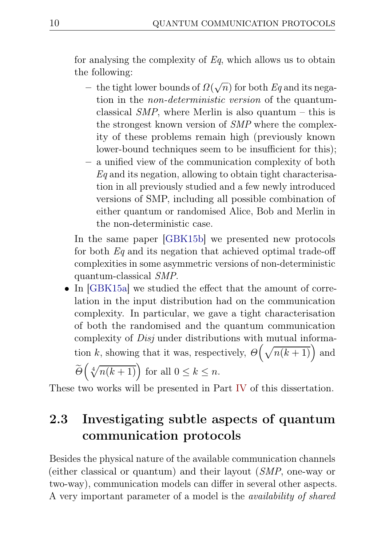for analysing the complexity of  $Eq$ , which allows us to obtain the following:

- the tight lower bounds of  $\Omega(\sqrt{n})$  for both  $Eq$  and its negation in the non-deterministic version of the quantumclassical  $SMP$ , where Merlin is also quantum – this is the strongest known version of SMP where the complexity of these problems remain high (previously known lower-bound techniques seem to be insufficient for this);
- a unified view of the communication complexity of both  $Eq$  and its negation, allowing to obtain tight characterisation in all previously studied and a few newly introduced versions of SMP, including all possible combination of either quantum or randomised Alice, Bob and Merlin in the non-deterministic case.

In the same paper [\[GBK15b\]](#page-21-2) we presented new protocols for both  $Eq$  and its negation that achieved optimal trade-off complexities in some asymmetric versions of non-deterministic quantum-classical SMP.

• In [\[GBK15a\]](#page-21-3) we studied the effect that the amount of correlation in the input distribution had on the communication complexity. In particular, we gave a tight characterisation of both the randomised and the quantum communication complexity of Disj under distributions with mutual information k, showing that it was, respectively,  $\Theta\left(\sqrt{n(k+1)}\right)$  and J

$$
\widetilde{\Theta}\left(\sqrt[4]{n(k+1)}\right) \text{ for all } 0 \le k \le n.
$$

These two works will be presented in Part [IV](#page-0-0) of this dissertation.

### <span id="page-13-0"></span>2.3 Investigating subtle aspects of quantum communication protocols

Besides the physical nature of the available communication channels (either classical or quantum) and their layout (SMP, one-way or two-way), communication models can differ in several other aspects. A very important parameter of a model is the availability of shared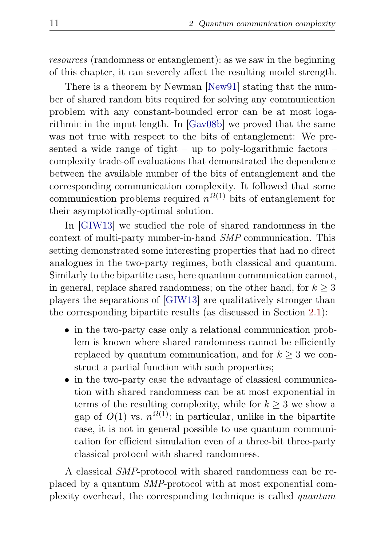resources (randomness or entanglement): as we saw in the beginning of this chapter, it can severely affect the resulting model strength.

There is a theorem by Newman [\[New91\]](#page-38-1) stating that the number of shared random bits required for solving any communication problem with any constant-bounded error can be at most logarithmic in the input length. In [\[Gav08b\]](#page-20-3) we proved that the same was not true with respect to the bits of entanglement: We presented a wide range of tight – up to poly-logarithmic factors – complexity trade-off evaluations that demonstrated the dependence between the available number of the bits of entanglement and the corresponding communication complexity. It followed that some communication problems required  $n^{O(1)}$  bits of entanglement for their asymptotically-optimal solution.

In [\[GIW13\]](#page-21-4) we studied the role of shared randomness in the context of multi-party number-in-hand SMP communication. This setting demonstrated some interesting properties that had no direct analogues in the two-party regimes, both classical and quantum. Similarly to the bipartite case, here quantum communication cannot, in general, replace shared randomness; on the other hand, for  $k \geq 3$ players the separations of [\[GIW13\]](#page-21-4) are qualitatively stronger than the corresponding bipartite results (as discussed in Section [2.1\)](#page-11-0):

- in the two-party case only a relational communication problem is known where shared randomness cannot be efficiently replaced by quantum communication, and for  $k \geq 3$  we construct a partial function with such properties;
- in the two-party case the advantage of classical communication with shared randomness can be at most exponential in terms of the resulting complexity, while for  $k \geq 3$  we show a gap of  $O(1)$  vs.  $n^{\Omega(1)}$ : in particular, unlike in the bipartite case, it is not in general possible to use quantum communication for efficient simulation even of a three-bit three-party classical protocol with shared randomness.

A classical SMP-protocol with shared randomness can be replaced by a quantum SMP-protocol with at most exponential complexity overhead, the corresponding technique is called quantum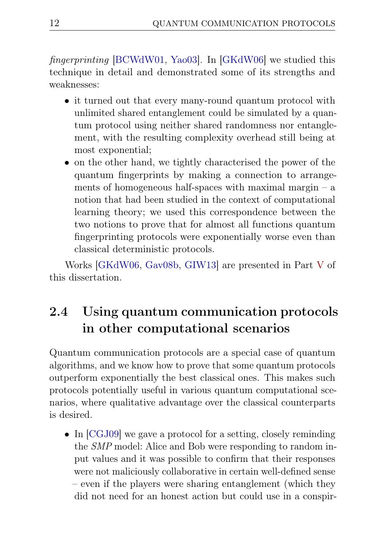fingerprinting [\[BCWdW01,](#page-25-1) [Yao03\]](#page-41-0). In [\[GKdW06\]](#page-21-5) we studied this technique in detail and demonstrated some of its strengths and weaknesses:

- it turned out that every many-round quantum protocol with unlimited shared entanglement could be simulated by a quantum protocol using neither shared randomness nor entanglement, with the resulting complexity overhead still being at most exponential;
- on the other hand, we tightly characterised the power of the quantum fingerprints by making a connection to arrangements of homogeneous half-spaces with maximal margin  $-$  a notion that had been studied in the context of computational learning theory; we used this correspondence between the two notions to prove that for almost all functions quantum fingerprinting protocols were exponentially worse even than classical deterministic protocols.

Works [\[GKdW06,](#page-21-5) [Gav08b,](#page-20-3) [GIW13\]](#page-21-4) are presented in Part [V](#page-0-0) of this dissertation.

### <span id="page-15-0"></span>2.4 Using quantum communication protocols in other computational scenarios

Quantum communication protocols are a special case of quantum algorithms, and we know how to prove that some quantum protocols outperform exponentially the best classical ones. This makes such protocols potentially useful in various quantum computational scenarios, where qualitative advantage over the classical counterparts is desired.

• In [\[CGJ09\]](#page-20-4) we gave a protocol for a setting, closely reminding the SMP model: Alice and Bob were responding to random input values and it was possible to confirm that their responses were not maliciously collaborative in certain well-defined sense – even if the players were sharing entanglement (which they did not need for an honest action but could use in a conspir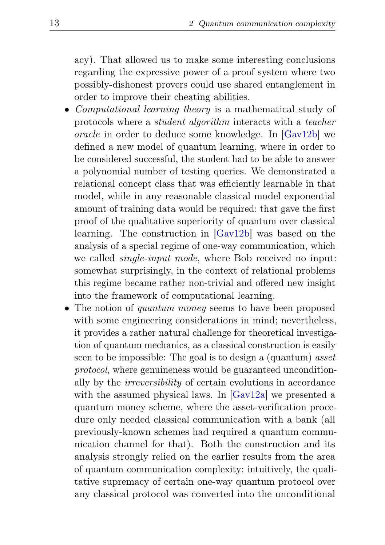acy). That allowed us to make some interesting conclusions regarding the expressive power of a proof system where two possibly-dishonest provers could use shared entanglement in order to improve their cheating abilities.

- Computational learning theory is a mathematical study of protocols where a student algorithm interacts with a teacher oracle in order to deduce some knowledge. In [\[Gav12b\]](#page-20-5) we defined a new model of quantum learning, where in order to be considered successful, the student had to be able to answer a polynomial number of testing queries. We demonstrated a relational concept class that was efficiently learnable in that model, while in any reasonable classical model exponential amount of training data would be required: that gave the first proof of the qualitative superiority of quantum over classical learning. The construction in [\[Gav12b\]](#page-20-5) was based on the analysis of a special regime of one-way communication, which we called *single-input mode*, where Bob received no input: somewhat surprisingly, in the context of relational problems this regime became rather non-trivial and offered new insight into the framework of computational learning.
- The notion of *quantum money* seems to have been proposed with some engineering considerations in mind; nevertheless, it provides a rather natural challenge for theoretical investigation of quantum mechanics, as a classical construction is easily seen to be impossible: The goal is to design a (quantum) asset protocol, where genuineness would be guaranteed unconditionally by the irreversibility of certain evolutions in accordance with the assumed physical laws. In [\[Gav12a\]](#page-20-6) we presented a quantum money scheme, where the asset-verification procedure only needed classical communication with a bank (all previously-known schemes had required a quantum communication channel for that). Both the construction and its analysis strongly relied on the earlier results from the area of quantum communication complexity: intuitively, the qualitative supremacy of certain one-way quantum protocol over any classical protocol was converted into the unconditional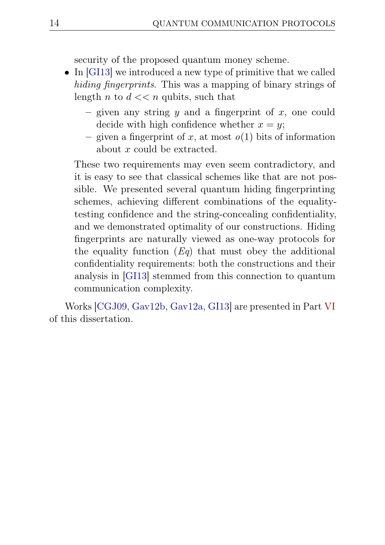security of the proposed quantum money scheme.

- In [\[GI13\]](#page-21-6) we introduced a new type of primitive that we called hiding fingerprints. This was a mapping of binary strings of length n to  $d \ll n$  qubits, such that
	- given any string  $y$  and a fingerprint of  $x$ , one could decide with high confidence whether  $x = y$ ;
	- given a fingerprint of x, at most  $o(1)$  bits of information about x could be extracted.

These two requirements may even seem contradictory, and it is easy to see that classical schemes like that are not possible. We presented several quantum hiding fingerprinting schemes, achieving different combinations of the equalitytesting confidence and the string-concealing confidentiality, and we demonstrated optimality of our constructions. Hiding fingerprints are naturally viewed as one-way protocols for the equality function  $(Eq)$  that must obey the additional confidentiality requirements: both the constructions and their analysis in [\[GI13\]](#page-21-6) stemmed from this connection to quantum communication complexity.

Works [\[CGJ09,](#page-20-4) [Gav12b,](#page-20-5) [Gav12a,](#page-20-6) [GI13\]](#page-21-6) are presented in Part [VI](#page-0-0) of this dissertation.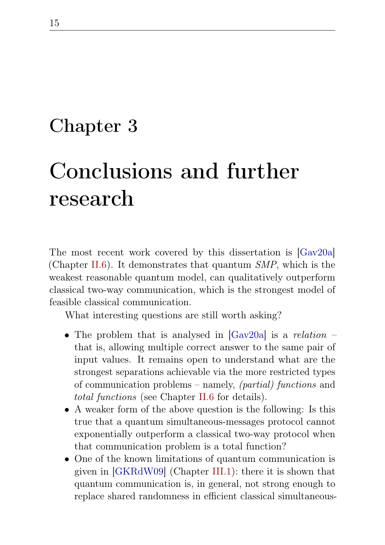### <span id="page-18-0"></span>Chapter 3

## Conclusions and further research

The most recent work covered by this dissertation is [\[Gav20a\]](#page-21-1) (Chapter [II.6\)](#page-0-0). It demonstrates that quantum SMP, which is the weakest reasonable quantum model, can qualitatively outperform classical two-way communication, which is the strongest model of feasible classical communication.

What interesting questions are still worth asking?

- The problem that is analysed in  $|Gav20a|$  is a relation that is, allowing multiple correct answer to the same pair of input values. It remains open to understand what are the strongest separations achievable via the more restricted types of communication problems – namely, (partial) functions and total functions (see Chapter [II.6](#page-0-0) for details).
- A weaker form of the above question is the following: Is this true that a quantum simultaneous-messages protocol cannot exponentially outperform a classical two-way protocol when that communication problem is a total function?
- One of the known limitations of quantum communication is given in [\[GKRdW09\]](#page-22-2) (Chapter [III.1\)](#page-0-0): there it is shown that quantum communication is, in general, not strong enough to replace shared randomness in efficient classical simultaneous-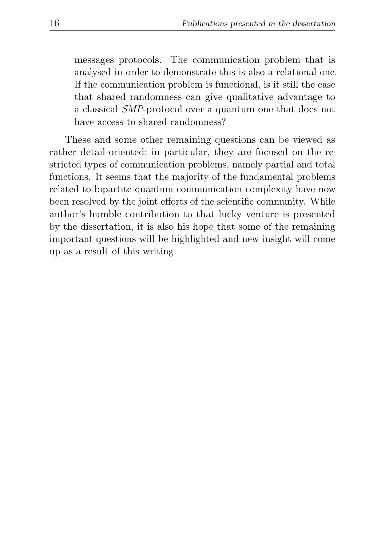messages protocols. The communication problem that is analysed in order to demonstrate this is also a relational one. If the communication problem is functional, is it still the case that shared randomness can give qualitative advantage to a classical SMP-protocol over a quantum one that does not have access to shared randomness?

These and some other remaining questions can be viewed as rather detail-oriented: in particular, they are focused on the restricted types of communication problems, namely partial and total functions. It seems that the majority of the fundamental problems related to bipartite quantum communication complexity have now been resolved by the joint efforts of the scientific community. While author's humble contribution to that lucky venture is presented by the dissertation, it is also his hope that some of the remaining important questions will be highlighted and new insight will come up as a result of this writing.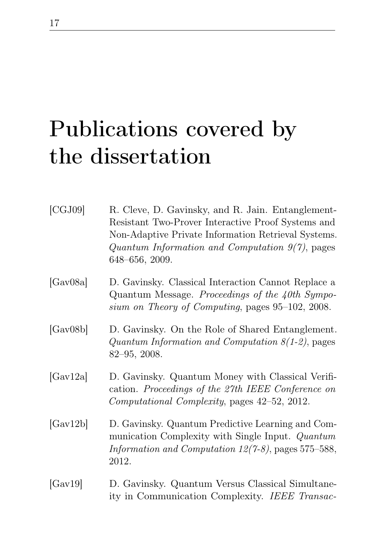# <span id="page-20-0"></span>Publications covered by the dissertation

<span id="page-20-6"></span><span id="page-20-5"></span><span id="page-20-4"></span><span id="page-20-3"></span><span id="page-20-2"></span><span id="page-20-1"></span>

| [CGJ09]  | R. Cleve, D. Gavinsky, and R. Jain. Entanglement-<br>Resistant Two-Prover Interactive Proof Systems and<br>Non-Adaptive Private Information Retrieval Systems.<br>Quantum Information and Computation $9(7)$ , pages<br>648-656, 2009. |
|----------|----------------------------------------------------------------------------------------------------------------------------------------------------------------------------------------------------------------------------------------|
| [Gav08a] | D. Gavinsky. Classical Interaction Cannot Replace a<br>Quantum Message. Proceedings of the 40th Sympo-<br>sium on Theory of Computing, pages 95–102, 2008.                                                                             |
| [Gav08b] | D. Gavinsky. On the Role of Shared Entanglement.<br>Quantum Information and Computation $8(1-2)$ , pages<br>$82 - 95$ , 2008.                                                                                                          |
| [Gav12a] | D. Gavinsky. Quantum Money with Classical Verifi-<br>cation. Proceedings of the 27th IEEE Conference on<br>Computational Complexity, pages 42-52, 2012.                                                                                |
| [Gav12b] | D. Gavinsky. Quantum Predictive Learning and Com-<br>munication Complexity with Single Input. Quantum<br>Information and Computation $12(7-8)$ , pages 575-588,<br>2012.                                                               |
| [Gav19]  | D. Gavinsky. Quantum Versus Classical Simultane-<br>ity in Communication Complexity. IEEE Transac-                                                                                                                                     |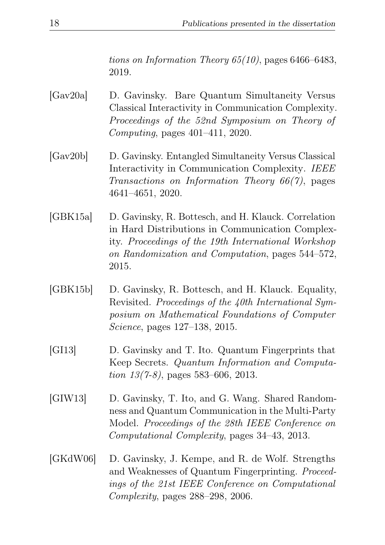tions on Information Theory  $65(10)$ , pages  $6466-6483$ , 2019.

- <span id="page-21-1"></span>[Gav20a] D. Gavinsky. Bare Quantum Simultaneity Versus Classical Interactivity in Communication Complexity. Proceedings of the 52nd Symposium on Theory of Computing, pages 401–411, 2020.
- <span id="page-21-0"></span>[Gav20b] D. Gavinsky. Entangled Simultaneity Versus Classical Interactivity in Communication Complexity. IEEE Transactions on Information Theory 66(7), pages 4641–4651, 2020.
- <span id="page-21-3"></span>[GBK15a] D. Gavinsky, R. Bottesch, and H. Klauck. Correlation in Hard Distributions in Communication Complexity. Proceedings of the 19th International Workshop on Randomization and Computation, pages 544–572, 2015.
- <span id="page-21-2"></span>[GBK15b] D. Gavinsky, R. Bottesch, and H. Klauck. Equality, Revisited. Proceedings of the 40th International Symposium on Mathematical Foundations of Computer Science, pages 127–138, 2015.
- <span id="page-21-6"></span>[GI13] D. Gavinsky and T. Ito. Quantum Fingerprints that Keep Secrets. Quantum Information and Computation 13(7-8), pages 583–606, 2013.
- <span id="page-21-4"></span>[GIW13] D. Gavinsky, T. Ito, and G. Wang. Shared Randomness and Quantum Communication in the Multi-Party Model. Proceedings of the 28th IEEE Conference on Computational Complexity, pages 34–43, 2013.
- <span id="page-21-5"></span>[GKdW06] D. Gavinsky, J. Kempe, and R. de Wolf. Strengths and Weaknesses of Quantum Fingerprinting. Proceedings of the 21st IEEE Conference on Computational Complexity, pages 288–298, 2006.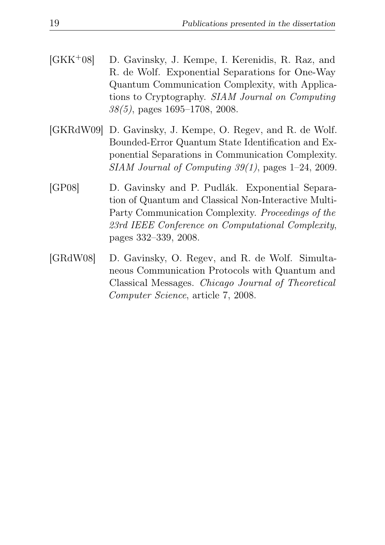- <span id="page-22-0"></span>[GKK+08] D. Gavinsky, J. Kempe, I. Kerenidis, R. Raz, and R. de Wolf. Exponential Separations for One-Way Quantum Communication Complexity, with Applications to Cryptography. SIAM Journal on Computing 38(5), pages 1695–1708, 2008.
- <span id="page-22-2"></span>[GKRdW09] D. Gavinsky, J. Kempe, O. Regev, and R. de Wolf. Bounded-Error Quantum State Identification and Exponential Separations in Communication Complexity. SIAM Journal of Computing 39(1), pages 1–24, 2009.
- <span id="page-22-1"></span>[GP08] D. Gavinsky and P. Pudlák. Exponential Separation of Quantum and Classical Non-Interactive Multi-Party Communication Complexity. Proceedings of the 23rd IEEE Conference on Computational Complexity, pages 332–339, 2008.
- <span id="page-22-3"></span>[GRdW08] D. Gavinsky, O. Regev, and R. de Wolf. Simultaneous Communication Protocols with Quantum and Classical Messages. Chicago Journal of Theoretical Computer Science, article 7, 2008.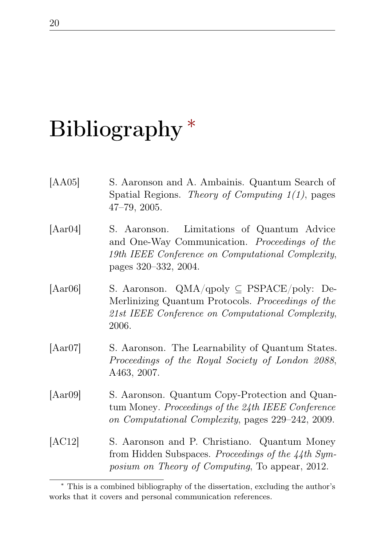# <span id="page-23-0"></span>Bibliography<sup>\*</sup>

- [AA05] S. Aaronson and A. Ambainis. Quantum Search of Spatial Regions. Theory of Computing  $1(1)$ , pages 47–79, 2005.
- [Aar04] S. Aaronson. Limitations of Quantum Advice and One-Way Communication. Proceedings of the 19th IEEE Conference on Computational Complexity, pages 320–332, 2004.
- [Aar06] S. Aaronson. QMA/qpoly ⊆ PSPACE/poly: De-Merlinizing Quantum Protocols. Proceedings of the 21st IEEE Conference on Computational Complexity, 2006.
- [Aar07] S. Aaronson. The Learnability of Quantum States. Proceedings of the Royal Society of London 2088, A463, 2007.
- [Aar09] S. Aaronson. Quantum Copy-Protection and Quantum Money. Proceedings of the 24th IEEE Conference on Computational Complexity, pages 229–242, 2009.
- [AC12] S. Aaronson and P. Christiano. Quantum Money from Hidden Subspaces. Proceedings of the 44th Symposium on Theory of Computing, To appear, 2012.

<span id="page-23-1"></span><sup>∗</sup> This is a combined bibliography of the dissertation, excluding the author's works that it covers and personal communication references.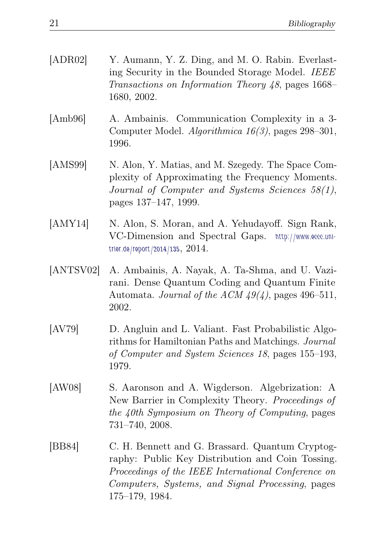| [ADR02]   | Y. Aumann, Y. Z. Ding, and M. O. Rabin. Everlast-<br>ing Security in the Bounded Storage Model. IEEE<br>Transactions on Information Theory 48, pages 1668–<br>1680, 2002.                                      |
|-----------|----------------------------------------------------------------------------------------------------------------------------------------------------------------------------------------------------------------|
| [Amb96]   | A. Ambainis. Communication Complexity in a 3-<br>Computer Model. Algorithmica 16(3), pages 298-301,<br>1996.                                                                                                   |
| [AMS99]   | N. Alon, Y. Matias, and M. Szegedy. The Space Com-<br>plexity of Approximating the Frequency Moments.<br>Journal of Computer and Systems Sciences 58(1),<br>pages 137–147, 1999.                               |
| [AMY14]   | N. Alon, S. Moran, and A. Yehudayoff. Sign Rank,<br>VC-Dimension and Spectral Gaps. http://www.eccc.uni-<br>trier.de/report/2014/135, $2014$ .                                                                 |
| [ANTSV02] | A. Ambainis, A. Nayak, A. Ta-Shma, and U. Vazi-<br>rani. Dense Quantum Coding and Quantum Finite<br>Automata. Journal of the ACM $49(4)$ , pages 496-511,<br>2002.                                             |
| [AV79]    | D. Angluin and L. Valiant. Fast Probabilistic Algo-<br>rithms for Hamiltonian Paths and Matchings. Journal<br>of Computer and System Sciences 18, pages 155–193,<br>1979.                                      |
| [AW08]    | S. Aaronson and A. Wigderson. Algebrization: A<br>New Barrier in Complexity Theory. Proceedings of<br>the 40th Symposium on Theory of Computing, pages<br>731-740, 2008.                                       |
| [BB84]    | C. H. Bennett and G. Brassard. Quantum Cryptog-<br>raphy: Public Key Distribution and Coin Tossing.<br>Proceedings of the IEEE International Conference on<br>Computers, Systems, and Signal Processing, pages |

175–179, 1984.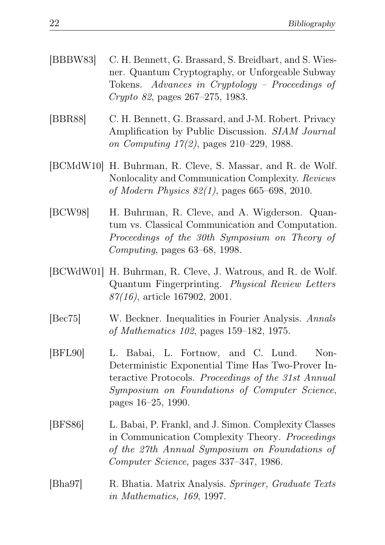| [BBBW83] C. H. Bennett, G. Brassard, S. Breidbart, and S. Wies- |
|-----------------------------------------------------------------|
| ner. Quantum Cryptography, or Unforgeable Subway                |
| Tokens. Advances in Cryptology – Proceedings of                 |
| <i>Crypto 82</i> , pages $267-275$ , 1983.                      |

- [BBR88] C. H. Bennett, G. Brassard, and J-M. Robert. Privacy Amplification by Public Discussion. SIAM Journal on Computing 17(2), pages 210–229, 1988.
- [BCMdW10] H. Buhrman, R. Cleve, S. Massar, and R. de Wolf. Nonlocality and Communication Complexity. Reviews of Modern Physics 82(1), pages 665–698, 2010.
- <span id="page-25-0"></span>[BCW98] H. Buhrman, R. Cleve, and A. Wigderson. Quantum vs. Classical Communication and Computation. Proceedings of the 30th Symposium on Theory of Computing, pages 63–68, 1998.
- <span id="page-25-1"></span>[BCWdW01] H. Buhrman, R. Cleve, J. Watrous, and R. de Wolf. Quantum Fingerprinting. Physical Review Letters  $87(16)$ , article 167902, 2001.
- [Bec75] W. Beckner. Inequalities in Fourier Analysis. Annals of Mathematics 102, pages 159–182, 1975.
- [BFL90] L. Babai, L. Fortnow, and C. Lund. Non-Deterministic Exponential Time Has Two-Prover Interactive Protocols. Proceedings of the 31st Annual Symposium on Foundations of Computer Science, pages 16–25, 1990.
- [BFS86] L. Babai, P. Frankl, and J. Simon. Complexity Classes in Communication Complexity Theory. Proceedings of the 27th Annual Symposium on Foundations of Computer Science, pages 337–347, 1986.
- [Bha97] R. Bhatia. Matrix Analysis. Springer, Graduate Texts in Mathematics, 169, 1997.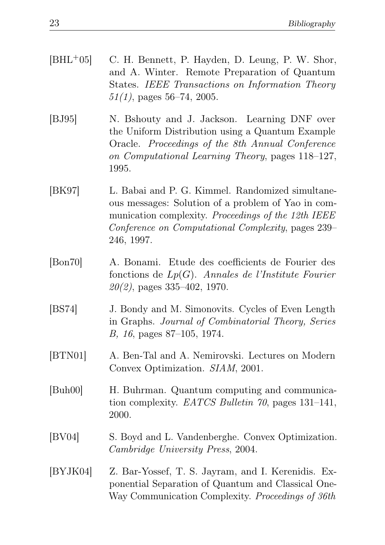- [BHL+05] C. H. Bennett, P. Hayden, D. Leung, P. W. Shor, and A. Winter. Remote Preparation of Quantum States. IEEE Transactions on Information Theory  $51(1)$ , pages 56–74, 2005.
- [BJ95] N. Bshouty and J. Jackson. Learning DNF over the Uniform Distribution using a Quantum Example Oracle. Proceedings of the 8th Annual Conference on Computational Learning Theory, pages 118–127, 1995.
- [BK97] L. Babai and P. G. Kimmel. Randomized simultaneous messages: Solution of a problem of Yao in communication complexity. Proceedings of the 12th IEEE Conference on Computational Complexity, pages 239– 246, 1997.
- [Bon70] A. Bonami. Etude des coefficients de Fourier des fonctions de  $Lp(G)$ . Annales de l'Institute Fourier  $20(2)$ , pages 335-402, 1970.
- [BS74] J. Bondy and M. Simonovits. Cycles of Even Length in Graphs. Journal of Combinatorial Theory, Series B, 16, pages 87–105, 1974.
- [BTN01] A. Ben-Tal and A. Nemirovski. Lectures on Modern Convex Optimization. SIAM, 2001.
- [Buh00] H. Buhrman. Quantum computing and communication complexity. EATCS Bulletin 70, pages 131–141, 2000.
- [BV04] S. Boyd and L. Vandenberghe. Convex Optimization. Cambridge University Press, 2004.
- <span id="page-26-0"></span>[BYJK04] Z. Bar-Yossef, T. S. Jayram, and I. Kerenidis. Exponential Separation of Quantum and Classical One-Way Communication Complexity. Proceedings of 36th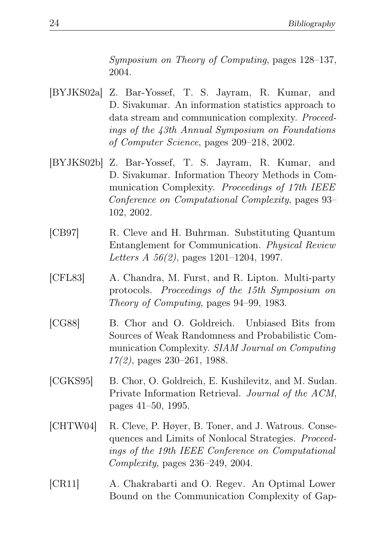Symposium on Theory of Computing, pages 128–137, 2004.

- [BYJKS02a] Z. Bar-Yossef, T. S. Jayram, R. Kumar, and D. Sivakumar. An information statistics approach to data stream and communication complexity. Proceedings of the 43th Annual Symposium on Foundations of Computer Science, pages 209–218, 2002.
- [BYJKS02b] Z. Bar-Yossef, T. S. Jayram, R. Kumar, and D. Sivakumar. Information Theory Methods in Communication Complexity. Proceedings of 17th IEEE Conference on Computational Complexity, pages 93– 102, 2002.
- [CB97] R. Cleve and H. Buhrman. Substituting Quantum Entanglement for Communication. Physical Review Letters A 56(2), pages 1201–1204, 1997.
- [CFL83] A. Chandra, M. Furst, and R. Lipton. Multi-party protocols. Proceedings of the 15th Symposium on Theory of Computing, pages 94–99, 1983.
- [CG88] B. Chor and O. Goldreich. Unbiased Bits from Sources of Weak Randomness and Probabilistic Communication Complexity. SIAM Journal on Computing 17(2), pages 230–261, 1988.
- [CGKS95] B. Chor, O. Goldreich, E. Kushilevitz, and M. Sudan. Private Information Retrieval. Journal of the ACM, pages 41–50, 1995.
- [CHTW04] R. Cleve, P. Høyer, B. Toner, and J. Watrous. Consequences and Limits of Nonlocal Strategies. Proceedings of the 19th IEEE Conference on Computational Complexity, pages 236–249, 2004.
- [CR11] A. Chakrabarti and O. Regev. An Optimal Lower Bound on the Communication Complexity of Gap-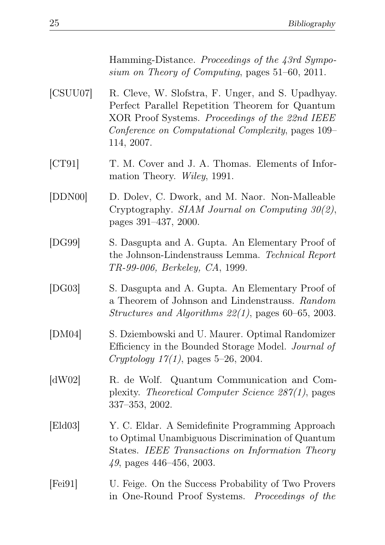Hamming-Distance. Proceedings of the 43rd Symposium on Theory of Computing, pages 51–60, 2011.

- [CSUU07] R. Cleve, W. Slofstra, F. Unger, and S. Upadhyay. Perfect Parallel Repetition Theorem for Quantum XOR Proof Systems. Proceedings of the 22nd IEEE Conference on Computational Complexity, pages 109– 114, 2007.
- [CT91] T. M. Cover and J. A. Thomas. Elements of Information Theory. Wiley, 1991.
- [DDN00] D. Dolev, C. Dwork, and M. Naor. Non-Malleable Cryptography. SIAM Journal on Computing 30(2), pages 391–437, 2000.
- [DG99] S. Dasgupta and A. Gupta. An Elementary Proof of the Johnson-Lindenstrauss Lemma. Technical Report TR-99-006, Berkeley, CA, 1999.
- [DG03] S. Dasgupta and A. Gupta. An Elementary Proof of a Theorem of Johnson and Lindenstrauss. Random Structures and Algorithms 22(1), pages 60–65, 2003.
- [DM04] S. Dziembowski and U. Maurer. Optimal Randomizer Efficiency in the Bounded Storage Model. Journal of  $Cryptology 17(1), pages 5–26, 2004.$
- [dW02] R. de Wolf. Quantum Communication and Complexity. Theoretical Computer Science 287(1), pages 337–353, 2002.
- [Eld03] Y. C. Eldar. A Semidefinite Programming Approach to Optimal Unambiguous Discrimination of Quantum States. IEEE Transactions on Information Theory 49, pages 446–456, 2003.
- [Fei91] U. Feige. On the Success Probability of Two Provers in One-Round Proof Systems. Proceedings of the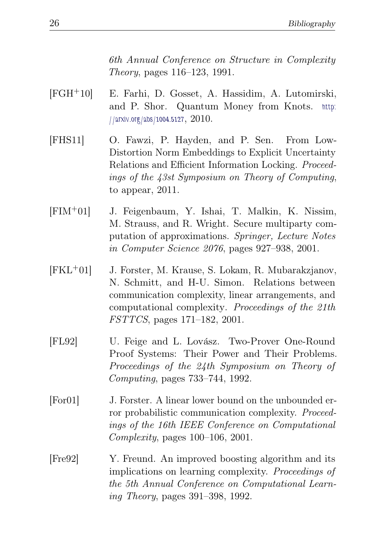6th Annual Conference on Structure in Complexity Theory, pages 116–123, 1991.

- [FGH+10] E. Farhi, D. Gosset, A. Hassidim, A. Lutomirski, and P. Shor. Quantum Money from Knots. [http:](http://arxiv.org/abs/1004.5127) [//arxiv.org/abs/1004.5127](http://arxiv.org/abs/1004.5127), 2010.
- [FHS11] O. Fawzi, P. Hayden, and P. Sen. From Low-Distortion Norm Embeddings to Explicit Uncertainty Relations and Efficient Information Locking. Proceedings of the 43st Symposium on Theory of Computing, to appear, 2011.
- [FIM+01] J. Feigenbaum, Y. Ishai, T. Malkin, K. Nissim, M. Strauss, and R. Wright. Secure multiparty computation of approximations. Springer, Lecture Notes in Computer Science 2076, pages 927–938, 2001.
- [FKL+01] J. Forster, M. Krause, S. Lokam, R. Mubarakzjanov, N. Schmitt, and H-U. Simon. Relations between communication complexity, linear arrangements, and computational complexity. Proceedings of the 21th FSTTCS, pages 171–182, 2001.
- [FL92] U. Feige and L. Lovász. Two-Prover One-Round Proof Systems: Their Power and Their Problems. Proceedings of the 24th Symposium on Theory of Computing, pages 733–744, 1992.
- [For01] J. Forster. A linear lower bound on the unbounded error probabilistic communication complexity. Proceedings of the 16th IEEE Conference on Computational Complexity, pages 100–106, 2001.
- [Fre92] Y. Freund. An improved boosting algorithm and its implications on learning complexity. Proceedings of the 5th Annual Conference on Computational Learning Theory, pages 391–398, 1992.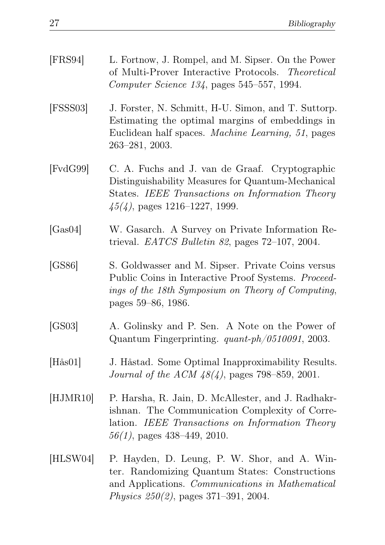| [FRS94]          | L. Fortnow, J. Rompel, and M. Sipser. On the Power<br>of Multi-Prover Interactive Protocols. Theoretical<br>Computer Science 134, pages 545–557, 1994.                                        |
|------------------|-----------------------------------------------------------------------------------------------------------------------------------------------------------------------------------------------|
| [FSSS03]         | J. Forster, N. Schmitt, H-U. Simon, and T. Suttorp.<br>Estimating the optimal margins of embeddings in<br>Euclidean half spaces. <i>Machine Learning</i> , 51, pages<br>$263 - 281, 2003.$    |
| [FvdG99]         | C. A. Fuchs and J. van de Graaf. Cryptographic<br>Distinguishability Measures for Quantum-Mechanical<br>States. IEEE Transactions on Information Theory<br>$45(4)$ , pages 1216–1227, 1999.   |
| [Gas04]          | W. Gasarch. A Survey on Private Information Re-<br>trieval. <i>EATCS Bulletin 82</i> , pages $72-107$ , 2004.                                                                                 |
| [GS86]           | S. Goldwasser and M. Sipser. Private Coins versus<br>Public Coins in Interactive Proof Systems. Proceed-<br>ings of the 18th Symposium on Theory of Computing,<br>pages 59–86, 1986.          |
| [GS03]           | A. Golinsky and P. Sen. A Note on the Power of<br>Quantum Fingerprinting. $quant\text{-}ph/0510091$ , 2003.                                                                                   |
| $[H\ddot{a}s01]$ | J. Håstad. Some Optimal Inapproximability Results.<br><i>Journal of the ACM 48(4)</i> , pages 798–859, 2001.                                                                                  |
| [HJMR10]         | P. Harsha, R. Jain, D. McAllester, and J. Radhakr-<br>ishnan. The Communication Complexity of Corre-<br>lation. IEEE Transactions on Information Theory<br>$56(1)$ , pages 438-449, 2010.     |
| [HLSW04]         | P. Hayden, D. Leung, P. W. Shor, and A. Win-<br>ter. Randomizing Quantum States: Constructions<br>and Applications. Communications in Mathematical<br>Physics $250(2)$ , pages 371-391, 2004. |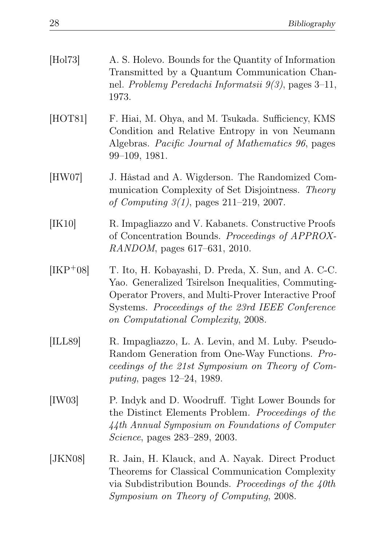| [Hol73]          | A. S. Holevo. Bounds for the Quantity of Information<br>Transmitted by a Quantum Communication Chan-<br>nel. Problemy Peredachi Informatsii $9(3)$ , pages 3-11,<br>1973.                                                                                    |
|------------------|--------------------------------------------------------------------------------------------------------------------------------------------------------------------------------------------------------------------------------------------------------------|
| [HOT81]          | F. Hiai, M. Ohya, and M. Tsukada. Sufficiency, KMS<br>Condition and Relative Entropy in von Neumann<br>Algebras. Pacific Journal of Mathematics 96, pages<br>$99-109, 1981.$                                                                                 |
| [HW07]           | J. Håstad and A. Wigderson. The Randomized Com-<br>munication Complexity of Set Disjointness. Theory<br>of Computing $3(1)$ , pages $211-219$ , 2007.                                                                                                        |
| [IK10]           | R. Impagliazzo and V. Kabanets. Constructive Proofs<br>of Concentration Bounds. Proceedings of APPROX-<br>RANDOM, pages 617-631, 2010.                                                                                                                       |
| $[IRP+08]$       | T. Ito, H. Kobayashi, D. Preda, X. Sun, and A. C-C.<br>Yao. Generalized Tsirelson Inequalities, Commuting-<br>Operator Provers, and Multi-Prover Interactive Proof<br>Systems. Proceedings of the 23rd IEEE Conference<br>on Computational Complexity, 2008. |
| [ILL89]          | R. Impagliazzo, L. A. Levin, and M. Luby. Pseudo-<br>Random Generation from One-Way Functions. Pro-<br>ceedings of the 21st Symposium on Theory of Com-<br><i>puting</i> , pages 12–24, 1989.                                                                |
| [IW03]           | P. Indyk and D. Woodruff. Tight Lower Bounds for<br>the Distinct Elements Problem. Proceedings of the<br>44th Annual Symposium on Foundations of Computer<br><i>Science</i> , pages 283–289, 2003.                                                           |
| [ <i>JKN08</i> ] | R. Jain, H. Klauck, and A. Nayak. Direct Product<br>Theorems for Classical Communication Complexity<br>via Subdistribution Bounds. Proceedings of the $40th$<br>Symposium on Theory of Computing, 2008.                                                      |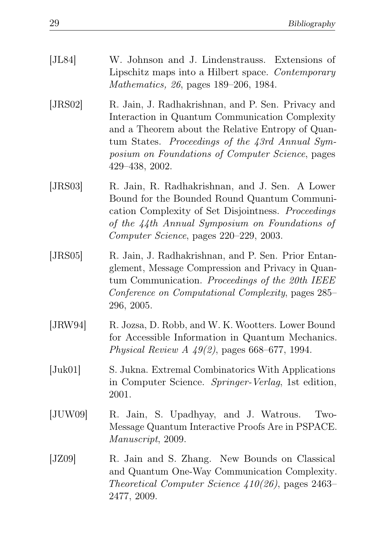| [JL84]           | W. Johnson and J. Lindenstrauss. Extensions of<br>Lipschitz maps into a Hilbert space. Contemporary<br>Mathematics, 26, pages 189–206, 1984.                                                                                                                                        |
|------------------|-------------------------------------------------------------------------------------------------------------------------------------------------------------------------------------------------------------------------------------------------------------------------------------|
| [JRS02]          | R. Jain, J. Radhakrishnan, and P. Sen. Privacy and<br>Interaction in Quantum Communication Complexity<br>and a Theorem about the Relative Entropy of Quan-<br>tum States. Proceedings of the 43rd Annual Sym-<br>posium on Foundations of Computer Science, pages<br>429-438, 2002. |
| [JRS03]          | R. Jain, R. Radhakrishnan, and J. Sen. A Lower<br>Bound for the Bounded Round Quantum Communi-<br>cation Complexity of Set Disjointness. Proceedings<br>of the 44th Annual Symposium on Foundations of<br>Computer Science, pages 220–229, 2003.                                    |
| [JRS05]          | R. Jain, J. Radhakrishnan, and P. Sen. Prior Entan-<br>glement, Message Compression and Privacy in Quan-<br>tum Communication. Proceedings of the 20th IEEE<br>Conference on Computational Complexity, pages 285–<br>296, 2005.                                                     |
| [JRW94]          | R. Jozsa, D. Robb, and W. K. Wootters. Lower Bound<br>for Accessible Information in Quantum Mechanics.<br>Physical Review A $49(2)$ , pages 668–677, 1994.                                                                                                                          |
| $[\text{Juk01}]$ | S. Jukna. Extremal Combinatorics With Applications<br>in Computer Science. Springer-Verlag, 1st edition,<br>2001.                                                                                                                                                                   |
| [JUW09]          | R. Jain, S. Upadhyay, and J. Watrous.<br>Two-<br>Message Quantum Interactive Proofs Are in PSPACE.<br>Manuscript, 2009.                                                                                                                                                             |
| [JZ09]           | R. Jain and S. Zhang. New Bounds on Classical<br>and Quantum One-Way Communication Complexity.<br>Theoretical Computer Science $410(26)$ , pages 2463–<br>2477, 2009.                                                                                                               |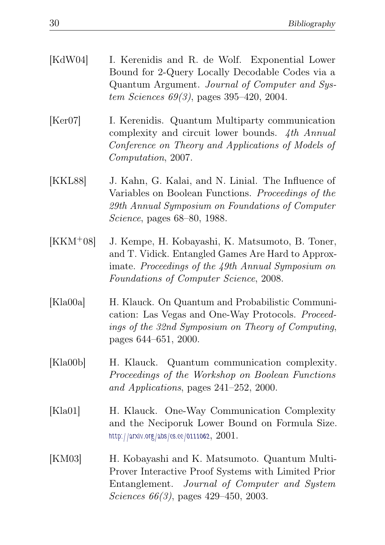| [KdW04] | I. Kerenidis and R. de Wolf. Exponential Lower   |
|---------|--------------------------------------------------|
|         | Bound for 2-Query Locally Decodable Codes via a  |
|         | Quantum Argument. Journal of Computer and Sys-   |
|         | <i>tem Sciences 69(3)</i> , pages 395–420, 2004. |

- [Ker07] I. Kerenidis. Quantum Multiparty communication complexity and circuit lower bounds. 4th Annual Conference on Theory and Applications of Models of Computation, 2007.
- [KKL88] J. Kahn, G. Kalai, and N. Linial. The Influence of Variables on Boolean Functions. Proceedings of the 29th Annual Symposium on Foundations of Computer Science, pages 68–80, 1988.
- [KKM+08] J. Kempe, H. Kobayashi, K. Matsumoto, B. Toner, and T. Vidick. Entangled Games Are Hard to Approximate. Proceedings of the 49th Annual Symposium on Foundations of Computer Science, 2008.
- [Kla00a] H. Klauck. On Quantum and Probabilistic Communication: Las Vegas and One-Way Protocols. Proceedings of the 32nd Symposium on Theory of Computing, pages 644–651, 2000.
- [Kla00b] H. Klauck. Quantum communication complexity. Proceedings of the Workshop on Boolean Functions and Applications, pages 241–252, 2000.
- [Kla01] H. Klauck. One-Way Communication Complexity and the Neciporuk Lower Bound on Formula Size. <http://arxiv.org/abs/cs.cc/0111062>, 2001.
- [KM03] H. Kobayashi and K. Matsumoto. Quantum Multi-Prover Interactive Proof Systems with Limited Prior Entanglement. Journal of Computer and System Sciences 66(3), pages 429–450, 2003.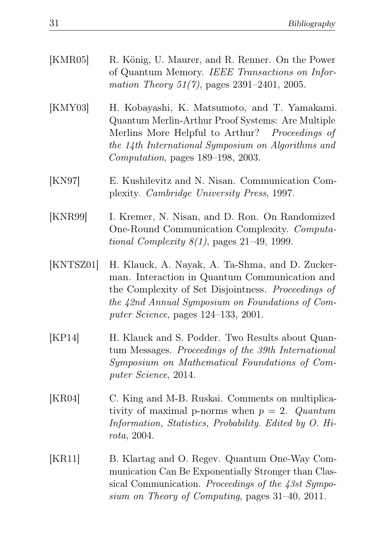| [KMR05]   | R. König, U. Maurer, and R. Renner. On the Power<br>of Quantum Memory. IEEE Transactions on Infor-<br>mation Theory $51(7)$ , pages $2391-2401$ , $2005$ .                                                                                              |
|-----------|---------------------------------------------------------------------------------------------------------------------------------------------------------------------------------------------------------------------------------------------------------|
| [KMY03]   | H. Kobayashi, K. Matsumoto, and T. Yamakami.<br>Quantum Merlin-Arthur Proof Systems: Are Multiple<br>Merlins More Helpful to Arthur? Proceedings of<br>the 14th International Symposium on Algorithms and<br>Computation, pages 189–198, 2003.          |
| [KN97]    | E. Kushilevitz and N. Nisan. Communication Com-<br>plexity. Cambridge University Press, 1997.                                                                                                                                                           |
| [KNR99]   | I. Kremer, N. Nisan, and D. Ron. On Randomized<br>One-Round Communication Complexity. Computa-<br>tional Complexity $8(1)$ , pages 21–49, 1999.                                                                                                         |
| [KNTSZ01] | H. Klauck, A. Nayak, A. Ta-Shma, and D. Zucker-<br>man. Interaction in Quantum Communication and<br>the Complexity of Set Disjointness. Proceedings of<br>the 42nd Annual Symposium on Foundations of Com-<br>puter Science, pages $124-133$ , $2001$ . |
| [KP14]    | H. Klauck and S. Podder. Two Results about Quan-<br>tum Messages. Proceedings of the 39th International<br>Symposium on Mathematical Foundations of Com-<br>puter Science, 2014.                                                                        |
| [KR04]    | C. King and M-B. Ruskai. Comments on multiplica-<br>tivity of maximal p-norms when $p = 2$ . Quantum<br>Information, Statistics, Probability. Edited by O. Hi-<br>rota, 2004.                                                                           |

<span id="page-34-0"></span>[KR11] B. Klartag and O. Regev. Quantum One-Way Communication Can Be Exponentially Stronger than Classical Communication. Proceedings of the 43st Symposium on Theory of Computing, pages 31–40, 2011.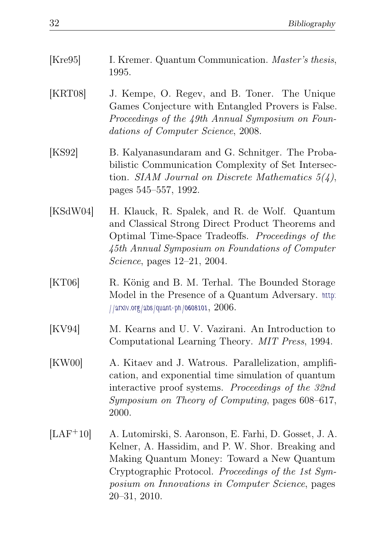- [Kre95] I. Kremer. Quantum Communication. *Master's thesis*, 1995.
- [KRT08] J. Kempe, O. Regev, and B. Toner. The Unique Games Conjecture with Entangled Provers is False. Proceedings of the 49th Annual Symposium on Foundations of Computer Science, 2008.
- [KS92] B. Kalyanasundaram and G. Schnitger. The Probabilistic Communication Complexity of Set Intersection. SIAM Journal on Discrete Mathematics  $5(4)$ , pages 545–557, 1992.
- [KSdW04] H. Klauck, R. Spalek, and R. de Wolf. Quantum and Classical Strong Direct Product Theorems and Optimal Time-Space Tradeoffs. Proceedings of the 45th Annual Symposium on Foundations of Computer Science, pages 12–21, 2004.
- [KT06] R. König and B. M. Terhal. The Bounded Storage Model in the Presence of a Quantum Adversary. [http:](http://arxiv.org/abs/quant-ph/0608101) [//arxiv.org/abs/quant-ph/0608101](http://arxiv.org/abs/quant-ph/0608101), 2006.
- [KV94] M. Kearns and U. V. Vazirani. An Introduction to Computational Learning Theory. MIT Press, 1994.
- [KW00] A. Kitaev and J. Watrous. Parallelization, amplification, and exponential time simulation of quantum interactive proof systems. Proceedings of the 32nd Symposium on Theory of Computing, pages 608–617, 2000.
- [LAF+10] A. Lutomirski, S. Aaronson, E. Farhi, D. Gosset, J. A. Kelner, A. Hassidim, and P. W. Shor. Breaking and Making Quantum Money: Toward a New Quantum Cryptographic Protocol. Proceedings of the 1st Symposium on Innovations in Computer Science, pages 20–31, 2010.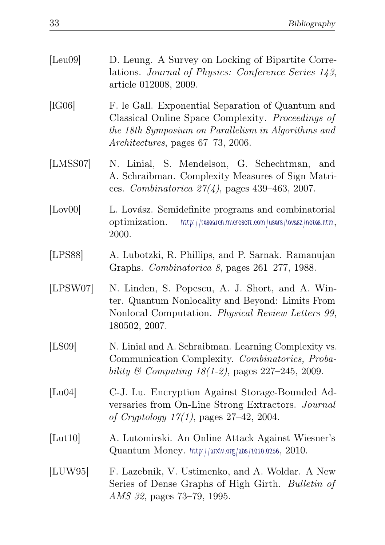| [Leu09]          | D. Leung. A Survey on Locking of Bipartite Corre-<br>lations. Journal of Physics: Conference Series 143,<br>article 012008, 2009.                                                                  |
|------------------|----------------------------------------------------------------------------------------------------------------------------------------------------------------------------------------------------|
| [1G06]           | F. le Gall. Exponential Separation of Quantum and<br>Classical Online Space Complexity. Proceedings of<br>the 18th Symposium on Parallelism in Algorithms and<br>Architectures, pages 67-73, 2006. |
| [LMSS07]         | N. Linial, S. Mendelson, G. Schechtman,<br>and<br>A. Schraibman. Complexity Measures of Sign Matri-<br>ces. Combinatorica $27(4)$ , pages 439-463, 2007.                                           |
| [Low00]          | L. Lovász. Semidefinite programs and combinatorial<br>http://research.microsoft.com/users/lovasz/notes.htm,<br>optimization.<br>2000.                                                              |
| [LPSS8]          | A. Lubotzki, R. Phillips, and P. Sarnak. Ramanujan<br>Graphs. Combinatorica 8, pages 261–277, 1988.                                                                                                |
| [LPSW07]         | N. Linden, S. Popescu, A. J. Short, and A. Win-<br>ter. Quantum Nonlocality and Beyond: Limits From<br>Nonlocal Computation. Physical Review Letters 99,<br>180502, 2007.                          |
| [LS09]           | N. Linial and A. Schraibman. Learning Complexity vs.<br>Communication Complexity. Combinatorics, Proba-<br>bility & Computing $18(1-2)$ , pages $227-245$ , 2009.                                  |
| [Lu04]           | C-J. Lu. Encryption Against Storage-Bounded Ad-<br>versaries from On-Line Strong Extractors. Journal<br><i>of Cryptology 17(1)</i> , pages $27-42$ , 2004.                                         |
| [ <b>Lut10</b> ] | A. Lutomirski. An Online Attack Against Wiesner's<br>Quantum Money. http://arxiv.org/abs/1010.0256, 2010.                                                                                          |
| [LUW95]          | F. Lazebnik, V. Ustimenko, and A. Woldar. A New<br>Series of Dense Graphs of High Girth. Bulletin of<br>AMS 32, pages 73–79, 1995.                                                                 |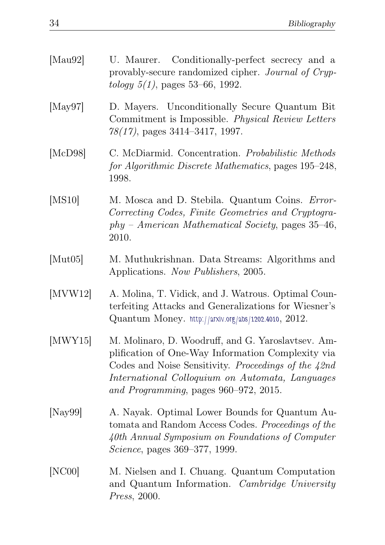| [ $Mau92$ ]              | U. Maurer. Conditionally-perfect secrecy and a<br>provably-secure randomized cipher. Journal of Cryp-<br><i>tology</i> $5(1)$ , pages 53–66, 1992.                                                                                                          |
|--------------------------|-------------------------------------------------------------------------------------------------------------------------------------------------------------------------------------------------------------------------------------------------------------|
| [May97]                  | D. Mayers. Unconditionally Secure Quantum Bit<br>Commitment is Impossible. Physical Review Letters<br>$78(17)$ , pages $3414-3417$ , 1997.                                                                                                                  |
| [McD98]                  | C. McDiarmid. Concentration. Probabilistic Methods<br>for Algorithmic Discrete Mathematics, pages 195-248,<br>1998.                                                                                                                                         |
| [MS10]                   | M. Mosca and D. Stebila. Quantum Coins. Error-<br>Correcting Codes, Finite Geometries and Cryptogra-<br>$phy$ – American Mathematical Society, pages 35–46,<br>2010.                                                                                        |
| [Mut05]                  | M. Muthukrishnan. Data Streams: Algorithms and<br>Applications. Now Publishers, 2005.                                                                                                                                                                       |
| $\left[$ MVW12 $\right]$ | A. Molina, T. Vidick, and J. Watrous. Optimal Coun-<br>terfeiting Attacks and Generalizations for Wiesner's<br>Quantum Money. http://arxiv.org/abs/1202.4010, 2012.                                                                                         |
| [MWY15]                  | M. Molinaro, D. Woodruff, and G. Yaroslavtsev. Am-<br>plification of One-Way Information Complexity via<br>Codes and Noise Sensitivity. Proceedings of the 42nd<br>International Colloquium on Automata, Languages<br>and Programming, pages 960–972, 2015. |
| [Nay99]                  | A. Nayak. Optimal Lower Bounds for Quantum Au-<br>tomata and Random Access Codes. Proceedings of the<br>40th Annual Symposium on Foundations of Computer<br><i>Science</i> , pages 369–377, 1999.                                                           |
| [NC00]                   | M. Nielsen and I. Chuang. Quantum Computation<br>and Quantum Information. Cambridge University<br>Press, 2000.                                                                                                                                              |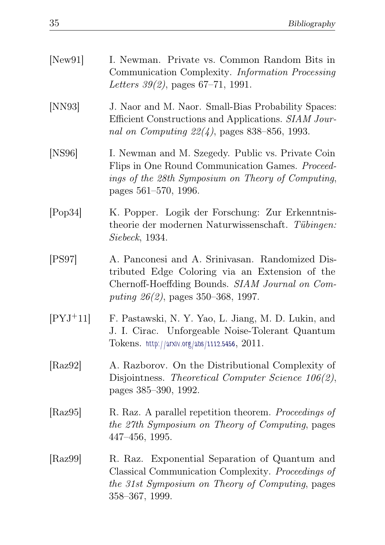<span id="page-38-1"></span><span id="page-38-0"></span>

| [New91]    | I. Newman. Private vs. Common Random Bits in<br>Communication Complexity. Information Processing<br>Letters $39(2)$ , pages $67-71$ , 1991.                                                   |
|------------|-----------------------------------------------------------------------------------------------------------------------------------------------------------------------------------------------|
| [NN93]     | J. Naor and M. Naor. Small-Bias Probability Spaces:<br>Efficient Constructions and Applications. SIAM Jour-<br>nal on Computing $22(4)$ , pages 838-856, 1993.                                |
| [NS96]     | I. Newman and M. Szegedy. Public vs. Private Coin<br>Flips in One Round Communication Games. Proceed-<br>ings of the 28th Symposium on Theory of Computing,<br>pages 561–570, 1996.           |
| [Pop34]    | K. Popper. Logik der Forschung: Zur Erkenntnis-<br>theorie der modernen Naturwissenschaft. Tübingen:<br><i>Siebeck</i> , 1934.                                                                |
| [PS97]     | A. Panconesi and A. Srinivasan. Randomized Dis-<br>tributed Edge Coloring via an Extension of the<br>Chernoff-Hoeffding Bounds. SIAM Journal on Com-<br>puting $26(2)$ , pages 350–368, 1997. |
| $[PYJ+11]$ | F. Pastawski, N. Y. Yao, L. Jiang, M. D. Lukin, and<br>J. I. Cirac. Unforgeable Noise-Tolerant Quantum<br>Tokens. http://arxiv.org/abs/1112.5456, $2011$ .                                    |
| [Raz92]    | A. Razborov. On the Distributional Complexity of<br>Disjointness. Theoretical Computer Science $106(2)$ ,<br>pages 385–390, 1992.                                                             |
| [Raz95]    | R. Raz. A parallel repetition theorem. Proceedings of<br>the 27th Symposium on Theory of Computing, pages<br>$447 - 456$ , 1995.                                                              |
| [Raz99]    | R. Raz. Exponential Separation of Quantum and<br>Classical Communication Complexity. Proceedings of<br>the 31st Symposium on Theory of Computing, pages<br>358-367, 1999.                     |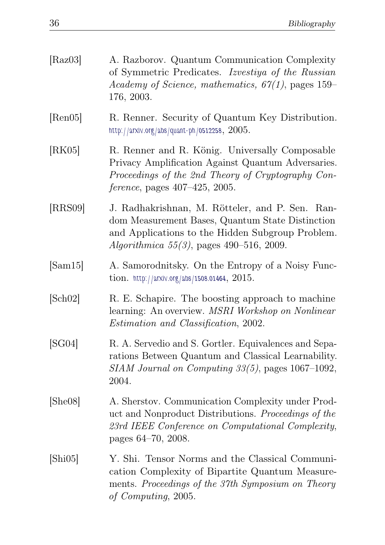| [Raz03] | A. Razborov. Quantum Communication Complexity<br>of Symmetric Predicates. Izvestiya of the Russian<br>Academy of Science, mathematics, $67(1)$ , pages 159–<br>176, 2003.                              |
|---------|--------------------------------------------------------------------------------------------------------------------------------------------------------------------------------------------------------|
| [Ren05] | R. Renner. Security of Quantum Key Distribution.<br>http://arxiv.org/abs/quant-ph/0512258, $2005$ .                                                                                                    |
| [RK05]  | R. Renner and R. König. Universally Composable<br>Privacy Amplification Against Quantum Adversaries.<br>Proceedings of the 2nd Theory of Cryptography Con-<br>ference, pages 407–425, 2005.            |
| [RRS09] | J. Radhakrishnan, M. Rötteler, and P. Sen. Ran-<br>dom Measurement Bases, Quantum State Distinction<br>and Applications to the Hidden Subgroup Problem.<br>Algorithmica $55(3)$ , pages 490-516, 2009. |
| [Sam15] | A. Samorodnitsky. On the Entropy of a Noisy Func-<br>tion. http://arxiv.org/abs/1508.01464, $2015$ .                                                                                                   |
| [Sch02] | R. E. Schapire. The boosting approach to machine<br>learning: An overview. MSRI Workshop on Nonlinear<br>Estimation and Classification, 2002.                                                          |
| [SG04]  | R. A. Servedio and S. Gortler. Equivalences and Sepa-<br>rations Between Quantum and Classical Learnability.<br>$SIAM\ Journal\ on\ Computing\ 33(5),$ pages 1067-1092,<br>2004.                       |
| [She08] | A. Sherstov. Communication Complexity under Prod-<br>uct and Nonproduct Distributions. Proceedings of the<br>23rd IEEE Conference on Computational Complexity,<br>pages 64–70, 2008.                   |
| [Shi05] | Y. Shi. Tensor Norms and the Classical Communi-<br>cation Complexity of Bipartite Quantum Measure-<br>ments. Proceedings of the 37th Symposium on Theory<br>of Computing, 2005.                        |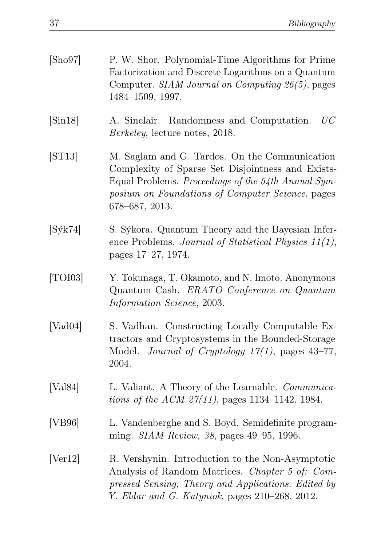| [Sho97]                         | P. W. Shor. Polynomial-Time Algorithms for Prime<br>Factorization and Discrete Logarithms on a Quantum<br>Computer. SIAM Journal on Computing 26(5), pages<br>1484-1509, 1997.                                                  |
|---------------------------------|---------------------------------------------------------------------------------------------------------------------------------------------------------------------------------------------------------------------------------|
| $\lbrack \mathrm{Sin}18\rbrack$ | UC<br>A. Sinclair. Randomness and Computation.<br><i>Berkeley</i> , lecture notes, 2018.                                                                                                                                        |
| $\left[\text{ST}13\right]$      | M. Saglam and G. Tardos. On the Communication<br>Complexity of Sparse Set Disjointness and Exists-<br>Equal Problems. Proceedings of the 54th Annual Sym-<br>posium on Foundations of Computer Science, pages<br>678–687, 2013. |
| $[S$ ýk $74]$                   | S. Sýkora. Quantum Theory and the Bayesian Infer-<br>ence Problems. Journal of Statistical Physics $11(1)$ ,<br>pages 17-27, 1974.                                                                                              |
| [TOI03]                         | Y. Tokunaga, T. Okamoto, and N. Imoto. Anonymous<br>Quantum Cash. ERATO Conference on Quantum<br>Information Science, 2003.                                                                                                     |
| [Vad04]                         | S. Vadhan. Constructing Locally Computable Ex-<br>tractors and Cryptosystems in the Bounded-Storage<br>Journal of Cryptology $17(1)$ , pages 43-77,<br>Model.<br>2004.                                                          |
| [Val84]                         | L. Valiant. A Theory of the Learnable. Communica-<br>tions of the ACM $27(11)$ , pages 1134-1142, 1984.                                                                                                                         |
| [VB96]                          | L. Vandenberghe and S. Boyd. Semidefinite program-<br>ming. SIAM Review, 38, pages 49-95, 1996.                                                                                                                                 |
| [Ver12]                         | R. Vershynin. Introduction to the Non-Asymptotic<br>Analysis of Random Matrices. Chapter 5 of: Com-<br>pressed Sensing, Theory and Applications. Edited by<br>Y. Eldar and G. Kutyniok, pages 210-268, 2012.                    |